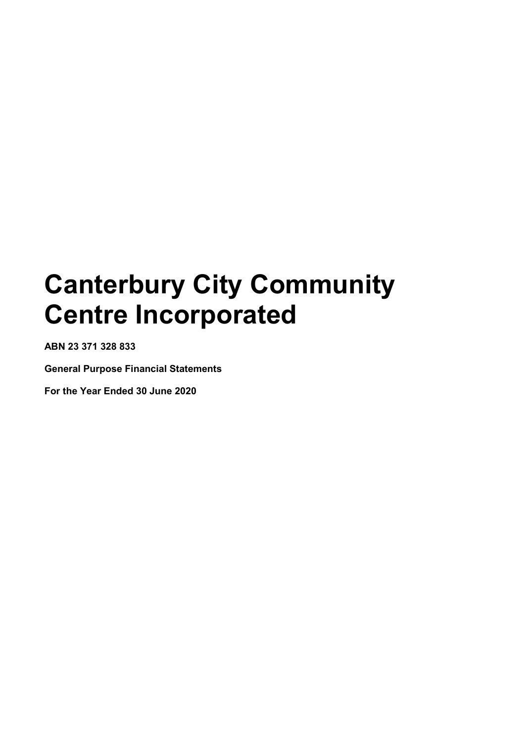**ABN 23 371 328 833**

**General Purpose Financial Statements**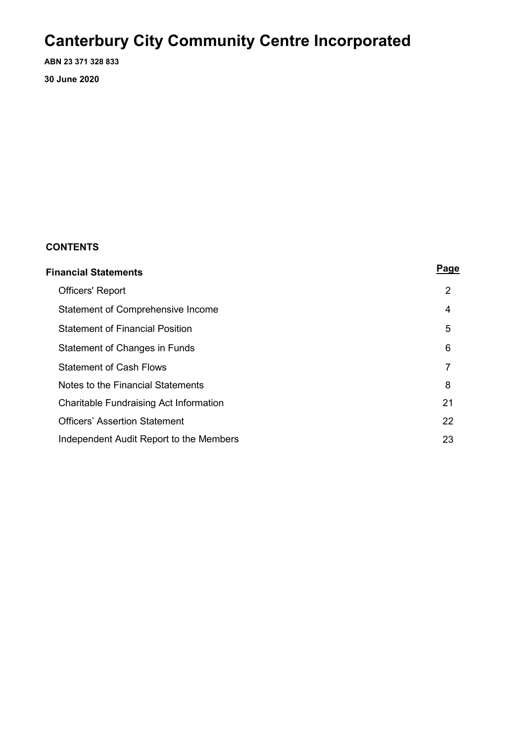**ABN 23 371 328 833 30 June 2020**

### **CONTENTS**

| Financial Statements                    |                |  |  |
|-----------------------------------------|----------------|--|--|
| <b>Officers' Report</b>                 | $\overline{2}$ |  |  |
| Statement of Comprehensive Income       | 4              |  |  |
| <b>Statement of Financial Position</b>  | 5              |  |  |
| Statement of Changes in Funds           | 6              |  |  |
| <b>Statement of Cash Flows</b>          | 7              |  |  |
| Notes to the Financial Statements       | 8              |  |  |
| Charitable Fundraising Act Information  | 21             |  |  |
| <b>Officers' Assertion Statement</b>    | 22             |  |  |
| Independent Audit Report to the Members | 23             |  |  |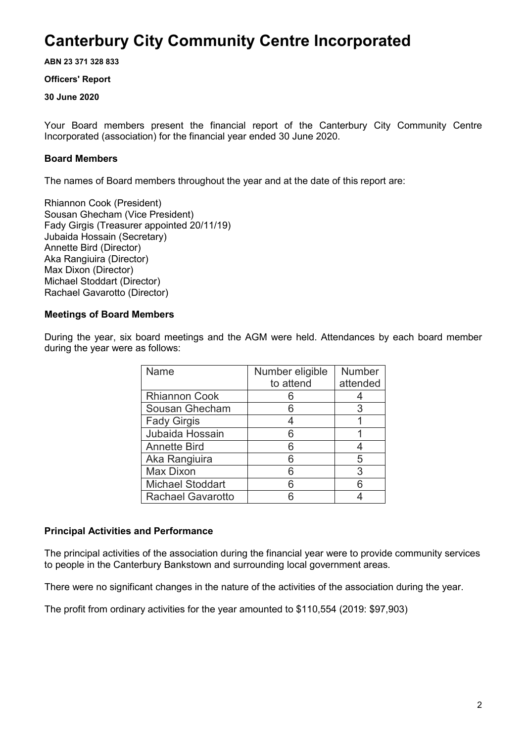**ABN 23 371 328 833**

### **Officers' Report**

### **30 June 2020**

Your Board members present the financial report of the Canterbury City Community Centre Incorporated (association) for the financial year ended 30 June 2020.

### **Board Members**

The names of Board members throughout the year and at the date of this report are:

Rhiannon Cook (President) Sousan Ghecham (Vice President) Fady Girgis (Treasurer appointed 20/11/19) Jubaida Hossain (Secretary) Annette Bird (Director) Aka Rangiuira (Director) Max Dixon (Director) Michael Stoddart (Director) Rachael Gavarotto (Director)

### **Meetings of Board Members**

During the year, six board meetings and the AGM were held. Attendances by each board member during the year were as follows:

| Name                     | Number eligible | <b>Number</b> |
|--------------------------|-----------------|---------------|
|                          | to attend       | attended      |
| <b>Rhiannon Cook</b>     |                 |               |
| Sousan Ghecham           |                 | 3             |
| <b>Fady Girgis</b>       |                 |               |
| Jubaida Hossain          | Ⴌ               |               |
| <b>Annette Bird</b>      | հ               |               |
| Aka Rangiuira            | հ               | 5             |
| Max Dixon                | Ⴌ               | 3             |
| <b>Michael Stoddart</b>  |                 | հ             |
| <b>Rachael Gavarotto</b> |                 |               |

### **Principal Activities and Performance**

The principal activities of the association during the financial year were to provide community services to people in the Canterbury Bankstown and surrounding local government areas.

There were no significant changes in the nature of the activities of the association during the year.

The profit from ordinary activities for the year amounted to \$110,554 (2019: \$97,903)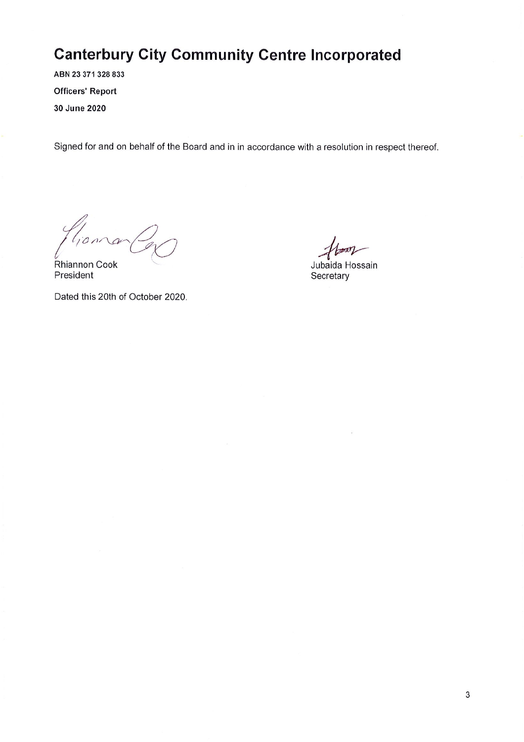ABN 23 371 328 833 **Officers' Report** 30 June 2020

Signed for and on behalf of the Board and in in accordance with a resolution in respect thereof.

 $hana$ 

**Rhiannon Cook** President

Dated this 20th of October 2020.

Jubaida Hossain Secretary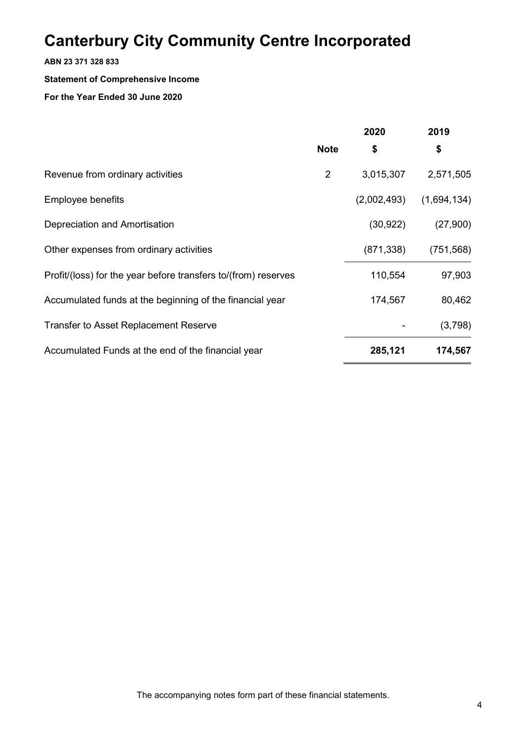### **ABN 23 371 328 833**

### **Statement of Comprehensive Income**

| 2020           |             | 2019        |  |
|----------------|-------------|-------------|--|
| <b>Note</b>    | \$          | \$          |  |
| $\overline{2}$ | 3,015,307   | 2,571,505   |  |
|                | (2,002,493) | (1,694,134) |  |
|                | (30, 922)   | (27,900)    |  |
|                | (871, 338)  | (751, 568)  |  |
|                | 110,554     | 97,903      |  |
|                | 174,567     | 80,462      |  |
|                |             | (3,798)     |  |
|                | 285,121     | 174,567     |  |
|                |             |             |  |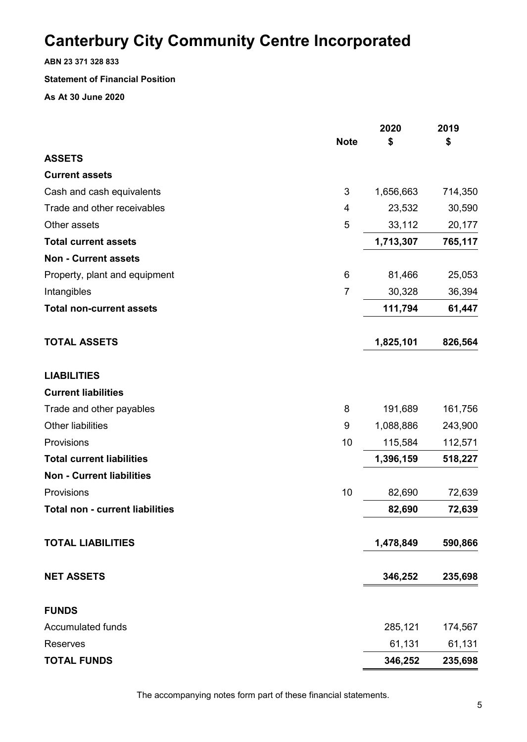**ABN 23 371 328 833**

### **Statement of Financial Position**

**As At 30 June 2020**

|                                        |                | 2020      | 2019    |
|----------------------------------------|----------------|-----------|---------|
| <b>ASSETS</b>                          | <b>Note</b>    | \$        | \$      |
| <b>Current assets</b>                  |                |           |         |
|                                        | 3              |           |         |
| Cash and cash equivalents              |                | 1,656,663 | 714,350 |
| Trade and other receivables            | 4              | 23,532    | 30,590  |
| Other assets                           | 5              | 33,112    | 20,177  |
| <b>Total current assets</b>            |                | 1,713,307 | 765,117 |
| <b>Non - Current assets</b>            |                |           |         |
| Property, plant and equipment          | 6              | 81,466    | 25,053  |
| Intangibles                            | $\overline{7}$ | 30,328    | 36,394  |
| <b>Total non-current assets</b>        |                | 111,794   | 61,447  |
| <b>TOTAL ASSETS</b>                    |                | 1,825,101 | 826,564 |
| <b>LIABILITIES</b>                     |                |           |         |
| <b>Current liabilities</b>             |                |           |         |
| Trade and other payables               | 8              | 191,689   | 161,756 |
| <b>Other liabilities</b>               | 9              | 1,088,886 | 243,900 |
| Provisions                             | 10             | 115,584   | 112,571 |
| <b>Total current liabilities</b>       |                | 1,396,159 | 518,227 |
| <b>Non - Current liabilities</b>       |                |           |         |
| Provisions                             | 10             | 82,690    | 72,639  |
| <b>Total non - current liabilities</b> |                | 82,690    | 72,639  |
| <b>TOTAL LIABILITIES</b>               |                | 1,478,849 | 590,866 |
| <b>NET ASSETS</b>                      |                | 346,252   | 235,698 |
| <b>FUNDS</b>                           |                |           |         |
| <b>Accumulated funds</b>               |                | 285,121   | 174,567 |
| <b>Reserves</b>                        |                | 61,131    | 61,131  |
| <b>TOTAL FUNDS</b>                     |                | 346,252   | 235,698 |

The accompanying notes form part of these financial statements.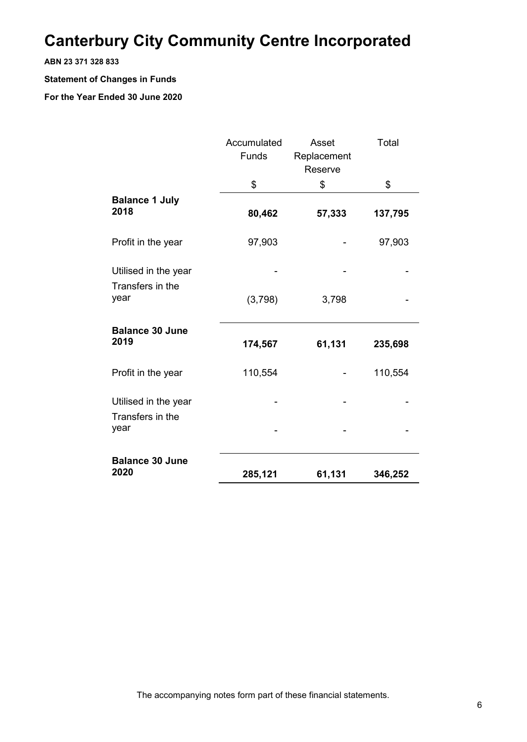### **ABN 23 371 328 833**

### **Statement of Changes in Funds**

|                                          | Accumulated | Asset       | Total   |
|------------------------------------------|-------------|-------------|---------|
|                                          | Funds       | Replacement |         |
|                                          |             | Reserve     |         |
|                                          | \$          | \$          | \$      |
| <b>Balance 1 July</b>                    |             |             |         |
| 2018                                     | 80,462      | 57,333      | 137,795 |
|                                          |             |             |         |
| Profit in the year                       | 97,903      |             | 97,903  |
|                                          |             |             |         |
| Utilised in the year<br>Transfers in the |             |             |         |
| year                                     | (3,798)     | 3,798       |         |
|                                          |             |             |         |
| <b>Balance 30 June</b>                   |             |             |         |
| 2019                                     | 174,567     | 61,131      | 235,698 |
| Profit in the year                       | 110,554     |             | 110,554 |
|                                          |             |             |         |
| Utilised in the year                     |             |             |         |
| Transfers in the                         |             |             |         |
| year                                     |             |             |         |
| <b>Balance 30 June</b>                   |             |             |         |
| 2020                                     | 285,121     | 61,131      | 346,252 |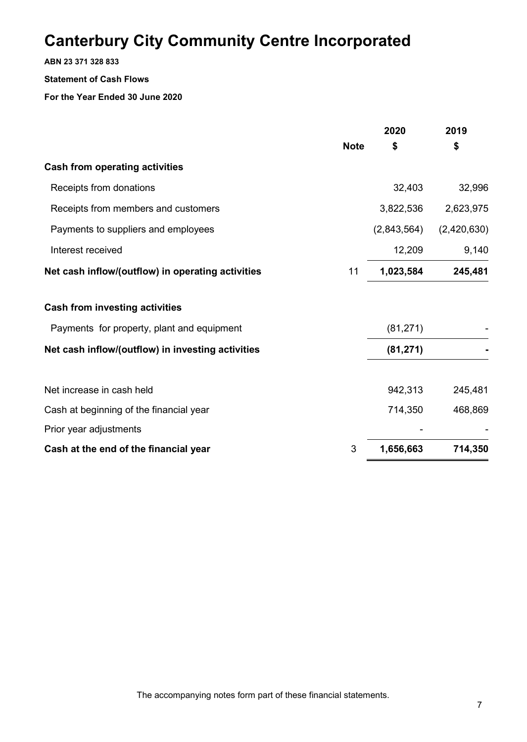**ABN 23 371 328 833**

### **Statement of Cash Flows**

|                                                   |             | 2020        | 2019        |
|---------------------------------------------------|-------------|-------------|-------------|
|                                                   | <b>Note</b> | \$          | \$          |
| <b>Cash from operating activities</b>             |             |             |             |
| Receipts from donations                           |             | 32,403      | 32,996      |
| Receipts from members and customers               |             | 3,822,536   | 2,623,975   |
| Payments to suppliers and employees               |             | (2,843,564) | (2,420,630) |
| Interest received                                 |             | 12,209      | 9,140       |
| Net cash inflow/(outflow) in operating activities | 11          | 1,023,584   | 245,481     |
| <b>Cash from investing activities</b>             |             |             |             |
| Payments for property, plant and equipment        |             | (81, 271)   |             |
| Net cash inflow/(outflow) in investing activities |             | (81, 271)   |             |
| Net increase in cash held                         |             | 942,313     | 245,481     |
| Cash at beginning of the financial year           |             | 714,350     | 468,869     |
| Prior year adjustments                            |             |             |             |
| Cash at the end of the financial year             | 3           | 1,656,663   | 714,350     |
|                                                   |             |             |             |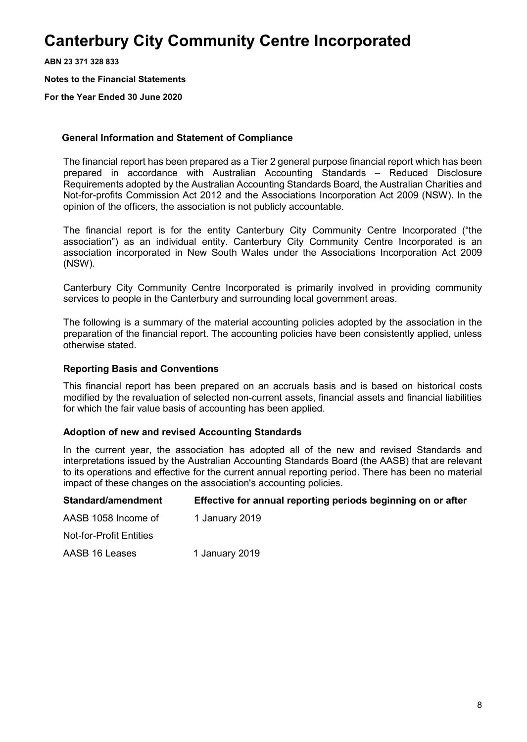**ABN 23 371 328 833**

**Notes to the Financial Statements**

**For the Year Ended 30 June 2020**

### **General Information and Statement of Compliance**

The financial report has been prepared as a Tier 2 general purpose financial report which has been prepared in accordance with Australian Accounting Standards – Reduced Disclosure Requirements adopted by the Australian Accounting Standards Board, the Australian Charities and Not-for-profits Commission Act 2012 and the Associations Incorporation Act 2009 (NSW). In the opinion of the officers, the association is not publicly accountable.

The financial report is for the entity Canterbury City Community Centre Incorporated ("the association") as an individual entity. Canterbury City Community Centre Incorporated is an association incorporated in New South Wales under the Associations Incorporation Act 2009 (NSW).

Canterbury City Community Centre Incorporated is primarily involved in providing community services to people in the Canterbury and surrounding local government areas.

The following is a summary of the material accounting policies adopted by the association in the preparation of the financial report. The accounting policies have been consistently applied, unless otherwise stated.

### **Reporting Basis and Conventions**

This financial report has been prepared on an accruals basis and is based on historical costs modified by the revaluation of selected non-current assets, financial assets and financial liabilities for which the fair value basis of accounting has been applied.

### **Adoption of new and revised Accounting Standards**

In the current year, the association has adopted all of the new and revised Standards and interpretations issued by the Australian Accounting Standards Board (the AASB) that are relevant to its operations and effective for the current annual reporting period. There has been no material impact of these changes on the association's accounting policies.

| Standard/amendment      | Effective for annual reporting periods beginning on or after |
|-------------------------|--------------------------------------------------------------|
| AASB 1058 Income of     | 1 January 2019                                               |
| Not-for-Profit Entities |                                                              |
| AASB 16 Leases          | 1 January 2019                                               |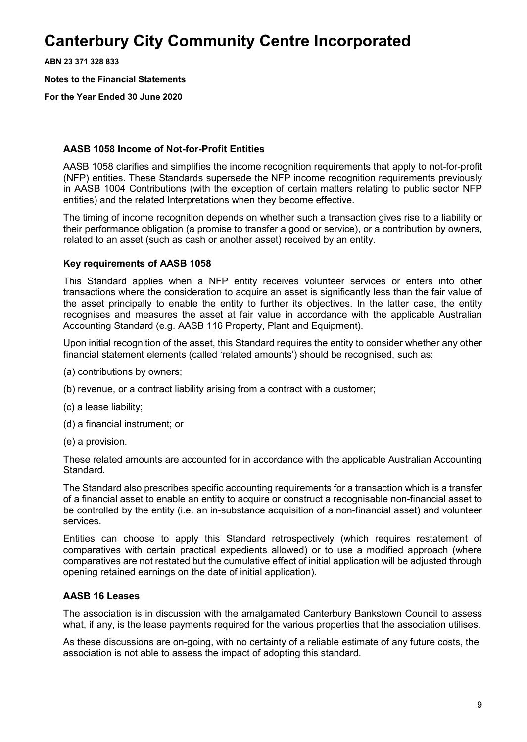**ABN 23 371 328 833**

**Notes to the Financial Statements**

**For the Year Ended 30 June 2020**

### **AASB 1058 Income of Not-for-Profit Entities**

AASB 1058 clarifies and simplifies the income recognition requirements that apply to not-for-profit (NFP) entities. These Standards supersede the NFP income recognition requirements previously in AASB 1004 Contributions (with the exception of certain matters relating to public sector NFP entities) and the related Interpretations when they become effective.

The timing of income recognition depends on whether such a transaction gives rise to a liability or their performance obligation (a promise to transfer a good or service), or a contribution by owners, related to an asset (such as cash or another asset) received by an entity.

### **Key requirements of AASB 1058**

This Standard applies when a NFP entity receives volunteer services or enters into other transactions where the consideration to acquire an asset is significantly less than the fair value of the asset principally to enable the entity to further its objectives. In the latter case, the entity recognises and measures the asset at fair value in accordance with the applicable Australian Accounting Standard (e.g. AASB 116 Property, Plant and Equipment).

Upon initial recognition of the asset, this Standard requires the entity to consider whether any other financial statement elements (called 'related amounts') should be recognised, such as:

- (a) contributions by owners;
- (b) revenue, or a contract liability arising from a contract with a customer;
- (c) a lease liability;
- (d) a financial instrument; or
- (e) a provision.

These related amounts are accounted for in accordance with the applicable Australian Accounting Standard.

The Standard also prescribes specific accounting requirements for a transaction which is a transfer of a financial asset to enable an entity to acquire or construct a recognisable non-financial asset to be controlled by the entity (i.e. an in-substance acquisition of a non-financial asset) and volunteer services.

Entities can choose to apply this Standard retrospectively (which requires restatement of comparatives with certain practical expedients allowed) or to use a modified approach (where comparatives are not restated but the cumulative effect of initial application will be adjusted through opening retained earnings on the date of initial application).

### **AASB 16 Leases**

The association is in discussion with the amalgamated Canterbury Bankstown Council to assess what, if any, is the lease payments required for the various properties that the association utilises.

As these discussions are on-going, with no certainty of a reliable estimate of any future costs, the association is not able to assess the impact of adopting this standard.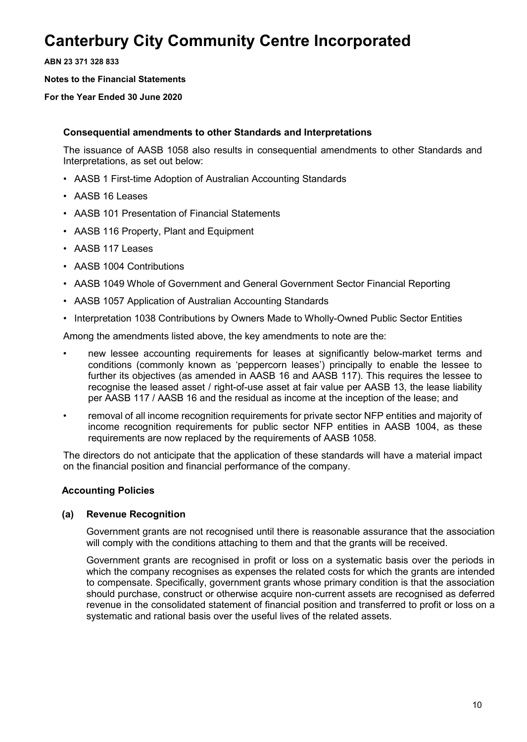**ABN 23 371 328 833**

**Notes to the Financial Statements**

**For the Year Ended 30 June 2020**

### **Consequential amendments to other Standards and Interpretations**

The issuance of AASB 1058 also results in consequential amendments to other Standards and Interpretations, as set out below:

- AASB 1 First-time Adoption of Australian Accounting Standards
- AASB 16 Leases
- AASB 101 Presentation of Financial Statements
- AASB 116 Property, Plant and Equipment
- AASB 117 Leases
- AASB 1004 Contributions
- AASB 1049 Whole of Government and General Government Sector Financial Reporting
- AASB 1057 Application of Australian Accounting Standards
- Interpretation 1038 Contributions by Owners Made to Wholly-Owned Public Sector Entities

Among the amendments listed above, the key amendments to note are the:

- new lessee accounting requirements for leases at significantly below-market terms and conditions (commonly known as 'peppercorn leases') principally to enable the lessee to further its objectives (as amended in AASB 16 and AASB 117). This requires the lessee to recognise the leased asset / right-of-use asset at fair value per AASB 13, the lease liability per AASB 117 / AASB 16 and the residual as income at the inception of the lease; and
- removal of all income recognition requirements for private sector NFP entities and majority of income recognition requirements for public sector NFP entities in AASB 1004, as these requirements are now replaced by the requirements of AASB 1058.

The directors do not anticipate that the application of these standards will have a material impact on the financial position and financial performance of the company.

### **Accounting Policies**

### **(a) Revenue Recognition**

Government grants are not recognised until there is reasonable assurance that the association will comply with the conditions attaching to them and that the grants will be received.

Government grants are recognised in profit or loss on a systematic basis over the periods in which the company recognises as expenses the related costs for which the grants are intended to compensate. Specifically, government grants whose primary condition is that the association should purchase, construct or otherwise acquire non-current assets are recognised as deferred revenue in the consolidated statement of financial position and transferred to profit or loss on a systematic and rational basis over the useful lives of the related assets.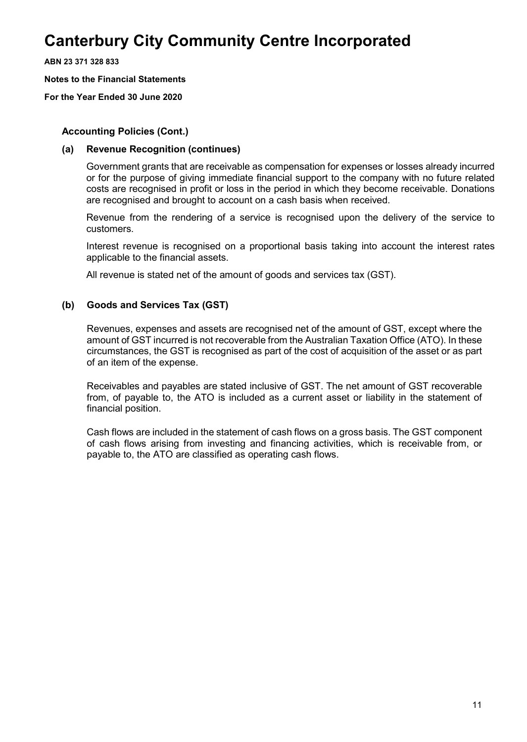**ABN 23 371 328 833**

**Notes to the Financial Statements**

**For the Year Ended 30 June 2020**

### **Accounting Policies (Cont.)**

### **(a) Revenue Recognition (continues)**

Government grants that are receivable as compensation for expenses or losses already incurred or for the purpose of giving immediate financial support to the company with no future related costs are recognised in profit or loss in the period in which they become receivable. Donations are recognised and brought to account on a cash basis when received.

Revenue from the rendering of a service is recognised upon the delivery of the service to customers.

Interest revenue is recognised on a proportional basis taking into account the interest rates applicable to the financial assets.

All revenue is stated net of the amount of goods and services tax (GST).

### **(b) Goods and Services Tax (GST)**

Revenues, expenses and assets are recognised net of the amount of GST, except where the amount of GST incurred is not recoverable from the Australian Taxation Office (ATO). In these circumstances, the GST is recognised as part of the cost of acquisition of the asset or as part of an item of the expense.

Receivables and payables are stated inclusive of GST. The net amount of GST recoverable from, of payable to, the ATO is included as a current asset or liability in the statement of financial position.

Cash flows are included in the statement of cash flows on a gross basis. The GST component of cash flows arising from investing and financing activities, which is receivable from, or payable to, the ATO are classified as operating cash flows.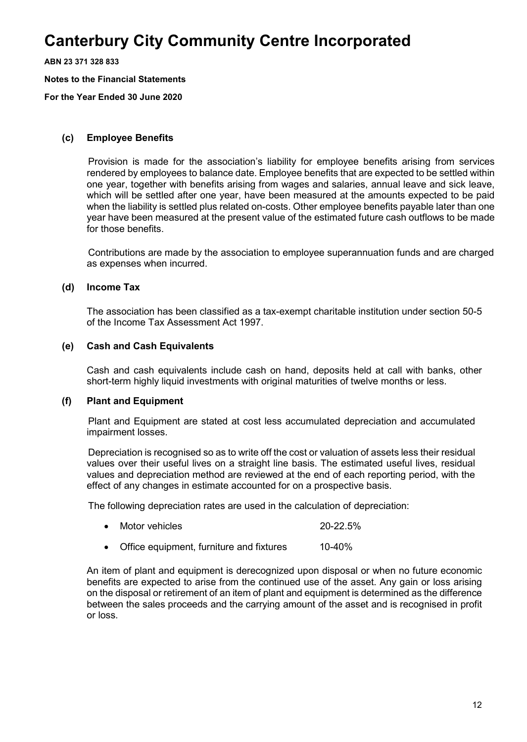**ABN 23 371 328 833**

**Notes to the Financial Statements**

**For the Year Ended 30 June 2020**

### **(c) Employee Benefits**

Provision is made for the association's liability for employee benefits arising from services rendered by employees to balance date. Employee benefits that are expected to be settled within one year, together with benefits arising from wages and salaries, annual leave and sick leave, which will be settled after one year, have been measured at the amounts expected to be paid when the liability is settled plus related on-costs. Other employee benefits payable later than one year have been measured at the present value of the estimated future cash outflows to be made for those benefits.

Contributions are made by the association to employee superannuation funds and are charged as expenses when incurred.

### **(d) Income Tax**

The association has been classified as a tax-exempt charitable institution under section 50-5 of the Income Tax Assessment Act 1997.

### **(e) Cash and Cash Equivalents**

Cash and cash equivalents include cash on hand, deposits held at call with banks, other short-term highly liquid investments with original maturities of twelve months or less.

#### **(f) Plant and Equipment**

Plant and Equipment are stated at cost less accumulated depreciation and accumulated impairment losses.

Depreciation is recognised so as to write off the cost or valuation of assets less their residual values over their useful lives on a straight line basis. The estimated useful lives, residual values and depreciation method are reviewed at the end of each reporting period, with the effect of any changes in estimate accounted for on a prospective basis.

The following depreciation rates are used in the calculation of depreciation:

- Motor vehicles 20-22.5%
- Office equipment, furniture and fixtures 10-40%

An item of plant and equipment is derecognized upon disposal or when no future economic benefits are expected to arise from the continued use of the asset. Any gain or loss arising on the disposal or retirement of an item of plant and equipment is determined as the difference between the sales proceeds and the carrying amount of the asset and is recognised in profit or loss.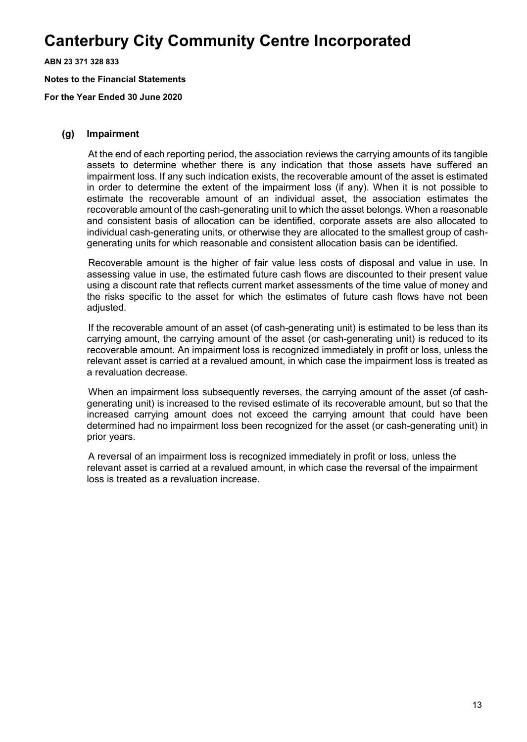**ABN 23 371 328 833**

**Notes to the Financial Statements**

**For the Year Ended 30 June 2020**

#### **(g) Impairment**

At the end of each reporting period, the association reviews the carrying amounts of its tangible assets to determine whether there is any indication that those assets have suffered an impairment loss. If any such indication exists, the recoverable amount of the asset is estimated in order to determine the extent of the impairment loss (if any). When it is not possible to estimate the recoverable amount of an individual asset, the association estimates the recoverable amount of the cash-generating unit to which the asset belongs. When a reasonable and consistent basis of allocation can be identified, corporate assets are also allocated to individual cash-generating units, or otherwise they are allocated to the smallest group of cashgenerating units for which reasonable and consistent allocation basis can be identified.

Recoverable amount is the higher of fair value less costs of disposal and value in use. In assessing value in use, the estimated future cash flows are discounted to their present value using a discount rate that reflects current market assessments of the time value of money and the risks specific to the asset for which the estimates of future cash flows have not been adjusted.

If the recoverable amount of an asset (of cash-generating unit) is estimated to be less than its carrying amount, the carrying amount of the asset (or cash-generating unit) is reduced to its recoverable amount. An impairment loss is recognized immediately in profit or loss, unless the relevant asset is carried at a revalued amount, in which case the impairment loss is treated as a revaluation decrease.

When an impairment loss subsequently reverses, the carrying amount of the asset (of cashgenerating unit) is increased to the revised estimate of its recoverable amount, but so that the increased carrying amount does not exceed the carrying amount that could have been determined had no impairment loss been recognized for the asset (or cash-generating unit) in prior years.

A reversal of an impairment loss is recognized immediately in profit or loss, unless the relevant asset is carried at a revalued amount, in which case the reversal of the impairment loss is treated as a revaluation increase.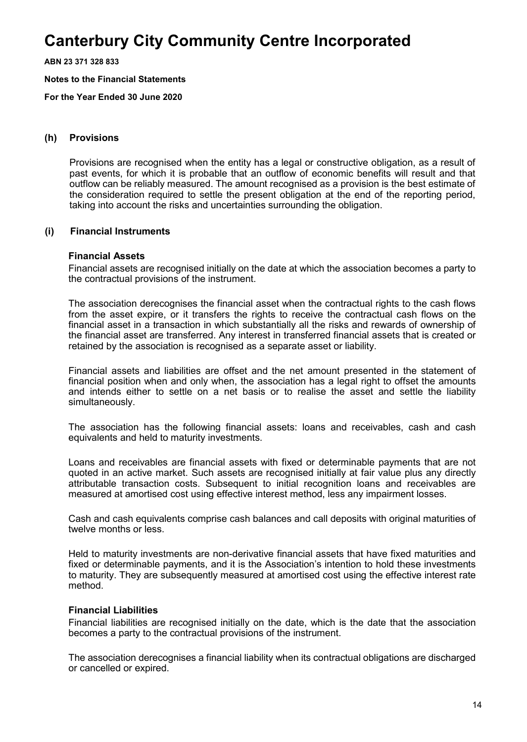**ABN 23 371 328 833**

**Notes to the Financial Statements**

**For the Year Ended 30 June 2020**

#### **(h) Provisions**

Provisions are recognised when the entity has a legal or constructive obligation, as a result of past events, for which it is probable that an outflow of economic benefits will result and that outflow can be reliably measured. The amount recognised as a provision is the best estimate of the consideration required to settle the present obligation at the end of the reporting period, taking into account the risks and uncertainties surrounding the obligation.

#### **(i) Financial Instruments**

### **Financial Assets**

Financial assets are recognised initially on the date at which the association becomes a party to the contractual provisions of the instrument.

The association derecognises the financial asset when the contractual rights to the cash flows from the asset expire, or it transfers the rights to receive the contractual cash flows on the financial asset in a transaction in which substantially all the risks and rewards of ownership of the financial asset are transferred. Any interest in transferred financial assets that is created or retained by the association is recognised as a separate asset or liability.

Financial assets and liabilities are offset and the net amount presented in the statement of financial position when and only when, the association has a legal right to offset the amounts and intends either to settle on a net basis or to realise the asset and settle the liability simultaneously.

The association has the following financial assets: loans and receivables, cash and cash equivalents and held to maturity investments.

Loans and receivables are financial assets with fixed or determinable payments that are not quoted in an active market. Such assets are recognised initially at fair value plus any directly attributable transaction costs. Subsequent to initial recognition loans and receivables are measured at amortised cost using effective interest method, less any impairment losses.

Cash and cash equivalents comprise cash balances and call deposits with original maturities of twelve months or less.

Held to maturity investments are non-derivative financial assets that have fixed maturities and fixed or determinable payments, and it is the Association's intention to hold these investments to maturity. They are subsequently measured at amortised cost using the effective interest rate method.

#### **Financial Liabilities**

Financial liabilities are recognised initially on the date, which is the date that the association becomes a party to the contractual provisions of the instrument.

The association derecognises a financial liability when its contractual obligations are discharged or cancelled or expired.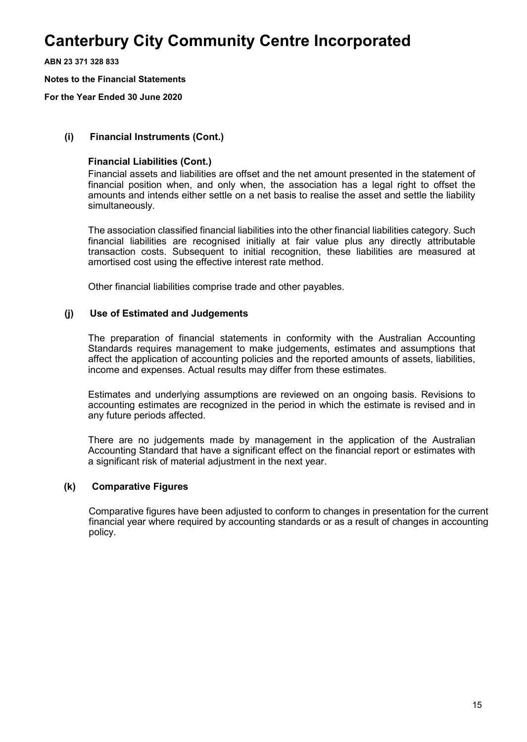**ABN 23 371 328 833**

**Notes to the Financial Statements**

**For the Year Ended 30 June 2020**

### **(i) Financial Instruments (Cont.)**

### **Financial Liabilities (Cont.)**

Financial assets and liabilities are offset and the net amount presented in the statement of financial position when, and only when, the association has a legal right to offset the amounts and intends either settle on a net basis to realise the asset and settle the liability simultaneously.

The association classified financial liabilities into the other financial liabilities category. Such financial liabilities are recognised initially at fair value plus any directly attributable transaction costs. Subsequent to initial recognition, these liabilities are measured at amortised cost using the effective interest rate method.

Other financial liabilities comprise trade and other payables.

### **(j) Use of Estimated and Judgements**

The preparation of financial statements in conformity with the Australian Accounting Standards requires management to make judgements, estimates and assumptions that affect the application of accounting policies and the reported amounts of assets, liabilities, income and expenses. Actual results may differ from these estimates.

Estimates and underlying assumptions are reviewed on an ongoing basis. Revisions to accounting estimates are recognized in the period in which the estimate is revised and in any future periods affected.

There are no judgements made by management in the application of the Australian Accounting Standard that have a significant effect on the financial report or estimates with a significant risk of material adjustment in the next year.

#### **(k) Comparative Figures**

Comparative figures have been adjusted to conform to changes in presentation for the current financial year where required by accounting standards or as a result of changes in accounting policy.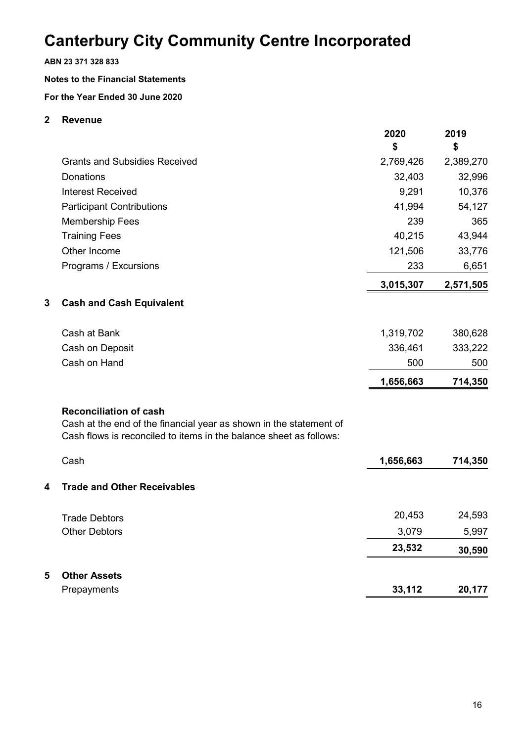### **ABN 23 371 328 833**

### **Notes to the Financial Statements**

**For the Year Ended 30 June 2020**

### **2 Revenue**

|   |                                                                                                                                                                           | 2020<br>\$ | 2019<br>\$ |
|---|---------------------------------------------------------------------------------------------------------------------------------------------------------------------------|------------|------------|
|   | <b>Grants and Subsidies Received</b>                                                                                                                                      | 2,769,426  | 2,389,270  |
|   | <b>Donations</b>                                                                                                                                                          | 32,403     | 32,996     |
|   | <b>Interest Received</b>                                                                                                                                                  | 9,291      | 10,376     |
|   | <b>Participant Contributions</b>                                                                                                                                          | 41,994     | 54,127     |
|   | <b>Membership Fees</b>                                                                                                                                                    | 239        | 365        |
|   | <b>Training Fees</b>                                                                                                                                                      | 40,215     | 43,944     |
|   | Other Income                                                                                                                                                              | 121,506    | 33,776     |
|   | Programs / Excursions                                                                                                                                                     | 233        | 6,651      |
|   |                                                                                                                                                                           | 3,015,307  | 2,571,505  |
| 3 | <b>Cash and Cash Equivalent</b>                                                                                                                                           |            |            |
|   | Cash at Bank                                                                                                                                                              | 1,319,702  | 380,628    |
|   | Cash on Deposit                                                                                                                                                           | 336,461    | 333,222    |
|   | Cash on Hand                                                                                                                                                              | 500        | 500        |
|   |                                                                                                                                                                           | 1,656,663  | 714,350    |
|   | <b>Reconciliation of cash</b><br>Cash at the end of the financial year as shown in the statement of<br>Cash flows is reconciled to items in the balance sheet as follows: |            |            |
|   | Cash                                                                                                                                                                      | 1,656,663  | 714,350    |
| 4 | <b>Trade and Other Receivables</b>                                                                                                                                        |            |            |
|   | <b>Trade Debtors</b>                                                                                                                                                      | 20,453     | 24,593     |
|   | <b>Other Debtors</b>                                                                                                                                                      | 3,079      | 5,997      |
|   |                                                                                                                                                                           | 23,532     | 30,590     |
| 5 | <b>Other Assets</b>                                                                                                                                                       |            |            |
|   | Prepayments                                                                                                                                                               | 33,112     | 20,177     |
|   |                                                                                                                                                                           |            |            |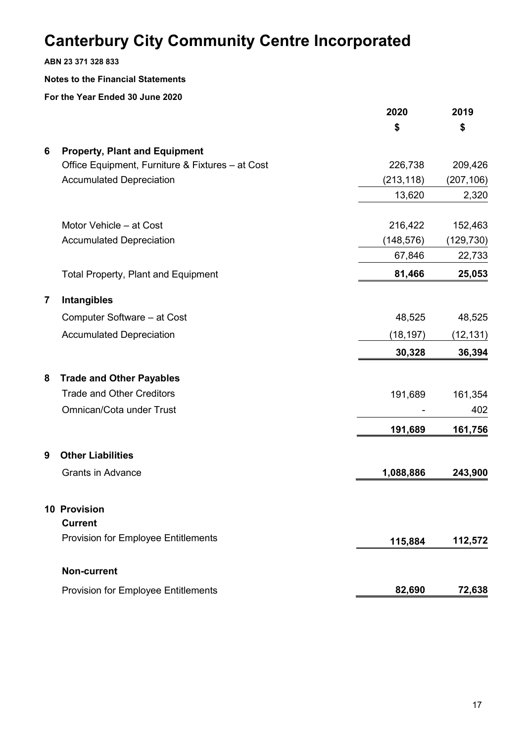**ABN 23 371 328 833**

### **Notes to the Financial Statements**

|                |                                                  | 2020       | 2019       |
|----------------|--------------------------------------------------|------------|------------|
|                |                                                  | \$         | \$         |
| 6              | <b>Property, Plant and Equipment</b>             |            |            |
|                | Office Equipment, Furniture & Fixtures - at Cost | 226,738    | 209,426    |
|                | <b>Accumulated Depreciation</b>                  | (213, 118) | (207, 106) |
|                |                                                  | 13,620     | 2,320      |
|                | Motor Vehicle - at Cost                          | 216,422    | 152,463    |
|                | <b>Accumulated Depreciation</b>                  | (148, 576) | (129, 730) |
|                |                                                  | 67,846     | 22,733     |
|                | <b>Total Property, Plant and Equipment</b>       | 81,466     | 25,053     |
| $\overline{7}$ | Intangibles                                      |            |            |
|                | Computer Software - at Cost                      | 48,525     | 48,525     |
|                | <b>Accumulated Depreciation</b>                  | (18, 197)  | (12, 131)  |
|                |                                                  | 30,328     | 36,394     |
| 8              | <b>Trade and Other Payables</b>                  |            |            |
|                | <b>Trade and Other Creditors</b>                 | 191,689    | 161,354    |
|                | Omnican/Cota under Trust                         |            | 402        |
|                |                                                  | 191,689    | 161,756    |
| 9              | <b>Other Liabilities</b>                         |            |            |
|                | <b>Grants in Advance</b>                         | 1,088,886  | 243,900    |
|                | <b>10 Provision</b>                              |            |            |
|                | <b>Current</b>                                   |            |            |
|                | <b>Provision for Employee Entitlements</b>       | 115,884    | 112,572    |
|                | Non-current                                      |            |            |
|                | <b>Provision for Employee Entitlements</b>       | 82,690     | 72,638     |
|                |                                                  |            |            |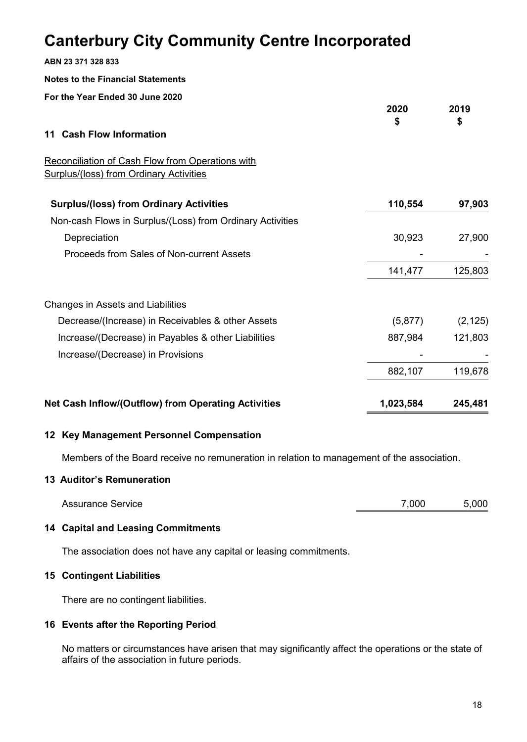| ABN 23 371 328 833                                                                                 |            |            |
|----------------------------------------------------------------------------------------------------|------------|------------|
| <b>Notes to the Financial Statements</b>                                                           |            |            |
| For the Year Ended 30 June 2020                                                                    |            |            |
|                                                                                                    | 2020<br>\$ | 2019<br>\$ |
| <b>Cash Flow Information</b><br>11                                                                 |            |            |
| Reconciliation of Cash Flow from Operations with<br><b>Surplus/(loss) from Ordinary Activities</b> |            |            |
| <b>Surplus/(loss) from Ordinary Activities</b>                                                     | 110,554    | 97,903     |
| Non-cash Flows in Surplus/(Loss) from Ordinary Activities                                          |            |            |
| Depreciation                                                                                       | 30,923     | 27,900     |
| Proceeds from Sales of Non-current Assets                                                          |            |            |
|                                                                                                    | 141,477    | 125,803    |
| Changes in Assets and Liabilities                                                                  |            |            |
| Decrease/(Increase) in Receivables & other Assets                                                  | (5, 877)   | (2, 125)   |
| Increase/(Decrease) in Payables & other Liabilities                                                | 887,984    | 121,803    |
| Increase/(Decrease) in Provisions                                                                  |            |            |
|                                                                                                    | 882,107    | 119,678    |
| Net Cash Inflow/(Outflow) from Operating Activities                                                | 1,023,584  | 245,481    |

### **12 Key Management Personnel Compensation**

Members of the Board receive no remuneration in relation to management of the association.

### **13 Auditor's Remuneration**

| <b>Assurance Service</b> | 7.000 | 5,000 |
|--------------------------|-------|-------|
|--------------------------|-------|-------|

### **14 Capital and Leasing Commitments**

The association does not have any capital or leasing commitments.

### **15 Contingent Liabilities**

There are no contingent liabilities.

### **16 Events after the Reporting Period**

No matters or circumstances have arisen that may significantly affect the operations or the state of affairs of the association in future periods.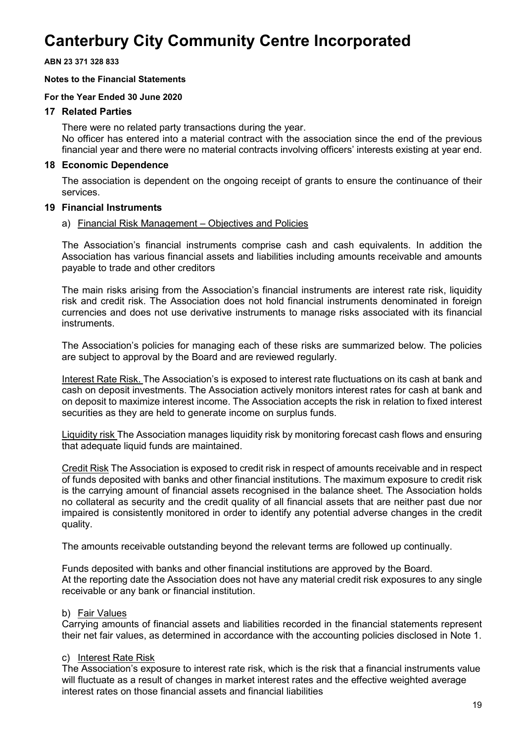**ABN 23 371 328 833**

### **Notes to the Financial Statements**

### **For the Year Ended 30 June 2020**

### **17 Related Parties**

There were no related party transactions during the year. No officer has entered into a material contract with the association since the end of the previous financial year and there were no material contracts involving officers' interests existing at year end.

### **18 Economic Dependence**

The association is dependent on the ongoing receipt of grants to ensure the continuance of their services.

### **19 Financial Instruments**

#### a) Financial Risk Management – Objectives and Policies

The Association's financial instruments comprise cash and cash equivalents. In addition the Association has various financial assets and liabilities including amounts receivable and amounts payable to trade and other creditors

The main risks arising from the Association's financial instruments are interest rate risk, liquidity risk and credit risk. The Association does not hold financial instruments denominated in foreign currencies and does not use derivative instruments to manage risks associated with its financial instruments.

The Association's policies for managing each of these risks are summarized below. The policies are subject to approval by the Board and are reviewed regularly.

Interest Rate Risk. The Association's is exposed to interest rate fluctuations on its cash at bank and cash on deposit investments. The Association actively monitors interest rates for cash at bank and on deposit to maximize interest income. The Association accepts the risk in relation to fixed interest securities as they are held to generate income on surplus funds.

Liquidity risk The Association manages liquidity risk by monitoring forecast cash flows and ensuring that adequate liquid funds are maintained.

Credit Risk The Association is exposed to credit risk in respect of amounts receivable and in respect of funds deposited with banks and other financial institutions. The maximum exposure to credit risk is the carrying amount of financial assets recognised in the balance sheet. The Association holds no collateral as security and the credit quality of all financial assets that are neither past due nor impaired is consistently monitored in order to identify any potential adverse changes in the credit quality.

The amounts receivable outstanding beyond the relevant terms are followed up continually.

Funds deposited with banks and other financial institutions are approved by the Board. At the reporting date the Association does not have any material credit risk exposures to any single receivable or any bank or financial institution.

### b) Fair Values

Carrying amounts of financial assets and liabilities recorded in the financial statements represent their net fair values, as determined in accordance with the accounting policies disclosed in Note 1.

### c) Interest Rate Risk

The Association's exposure to interest rate risk, which is the risk that a financial instruments value will fluctuate as a result of changes in market interest rates and the effective weighted average interest rates on those financial assets and financial liabilities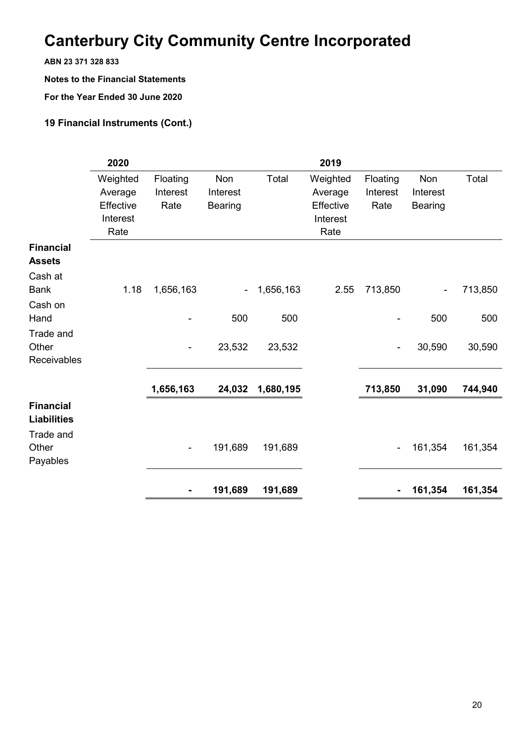**ABN 23 371 328 833**

**Notes to the Financial Statements**

**For the Year Ended 30 June 2020**

### **19 Financial Instruments (Cont.)**

|                    | 2020      |                              |                              |           | 2019      |                              |                |         |
|--------------------|-----------|------------------------------|------------------------------|-----------|-----------|------------------------------|----------------|---------|
|                    | Weighted  | Floating                     | <b>Non</b>                   | Total     | Weighted  | Floating                     | Non            | Total   |
|                    | Average   | Interest                     | Interest                     |           | Average   | Interest                     | Interest       |         |
|                    | Effective | Rate                         | <b>Bearing</b>               |           | Effective | Rate                         | <b>Bearing</b> |         |
|                    | Interest  |                              |                              |           | Interest  |                              |                |         |
|                    | Rate      |                              |                              |           | Rate      |                              |                |         |
| <b>Financial</b>   |           |                              |                              |           |           |                              |                |         |
| <b>Assets</b>      |           |                              |                              |           |           |                              |                |         |
| Cash at            |           |                              |                              |           |           |                              |                |         |
| <b>Bank</b>        | 1.18      | 1,656,163                    | $\qquad \qquad \blacksquare$ | 1,656,163 | 2.55      | 713,850                      |                | 713,850 |
| Cash on            |           |                              |                              |           |           |                              |                |         |
| Hand               |           |                              | 500                          | 500       |           |                              | 500            | 500     |
| Trade and          |           |                              |                              |           |           |                              |                |         |
| Other              |           | $\overline{\phantom{0}}$     | 23,532                       | 23,532    |           | $\qquad \qquad \blacksquare$ | 30,590         | 30,590  |
| Receivables        |           |                              |                              |           |           |                              |                |         |
|                    |           | 1,656,163                    | 24,032                       | 1,680,195 |           | 713,850                      | 31,090         | 744,940 |
| <b>Financial</b>   |           |                              |                              |           |           |                              |                |         |
| <b>Liabilities</b> |           |                              |                              |           |           |                              |                |         |
| Trade and          |           |                              |                              |           |           |                              |                |         |
| Other              |           | $\overline{\phantom{a}}$     | 191,689                      | 191,689   |           | $\overline{\phantom{0}}$     | 161,354        | 161,354 |
| Payables           |           |                              |                              |           |           |                              |                |         |
|                    |           |                              |                              |           |           |                              |                |         |
|                    |           | $\qquad \qquad \blacksquare$ | 191,689                      | 191,689   |           | $\blacksquare$               | 161,354        | 161,354 |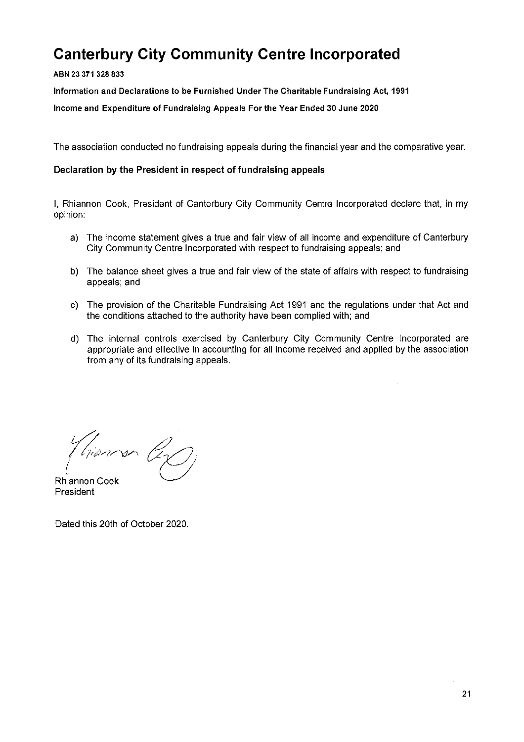#### ABN 23 371 328 833

Information and Declarations to be Furnished Under The Charitable Fundraising Act, 1991

Income and Expenditure of Fundraising Appeals For the Year Ended 30 June 2020

The association conducted no fundraising appeals during the financial year and the comparative year.

#### Declaration by the President in respect of fundraising appeals

I, Rhiannon Cook, President of Canterbury City Community Centre Incorporated declare that, in my opinion:

- a) The income statement gives a true and fair view of all income and expenditure of Canterbury City Community Centre Incorporated with respect to fundraising appeals; and
- b) The balance sheet gives a true and fair view of the state of affairs with respect to fundraising appeals; and
- c) The provision of the Charitable Fundraising Act 1991 and the requiations under that Act and the conditions attached to the authority have been complied with; and
- d) The internal controls exercised by Canterbury City Community Centre Incorporated are appropriate and effective in accounting for all income received and applied by the association from any of its fundraising appeals.

hiansa Ciz

**Rhiannon Cook** President

Dated this 20th of October 2020.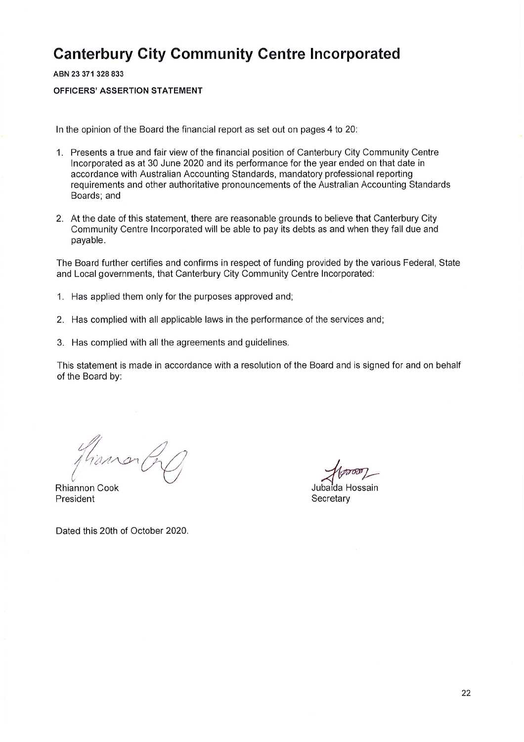ABN 23 371 328 833

**OFFICERS' ASSERTION STATEMENT** 

In the opinion of the Board the financial report as set out on pages 4 to 20:

- 1. Presents a true and fair view of the financial position of Canterbury City Community Centre Incorporated as at 30 June 2020 and its performance for the year ended on that date in accordance with Australian Accounting Standards, mandatory professional reporting requirements and other authoritative pronouncements of the Australian Accounting Standards Boards: and
- 2. At the date of this statement, there are reasonable grounds to believe that Canterbury City Community Centre Incorporated will be able to pay its debts as and when they fall due and pavable.

The Board further certifies and confirms in respect of funding provided by the various Federal, State and Local governments, that Canterbury City Community Centre Incorporated:

- 1. Has applied them only for the purposes approved and:
- 2. Has complied with all applicable laws in the performance of the services and;
- 3. Has complied with all the agreements and guidelines.

This statement is made in accordance with a resolution of the Board and is signed for and on behalf of the Board by:

**Rhiannon Cook** President

Jubaida Hossain Secretary

Dated this 20th of October 2020.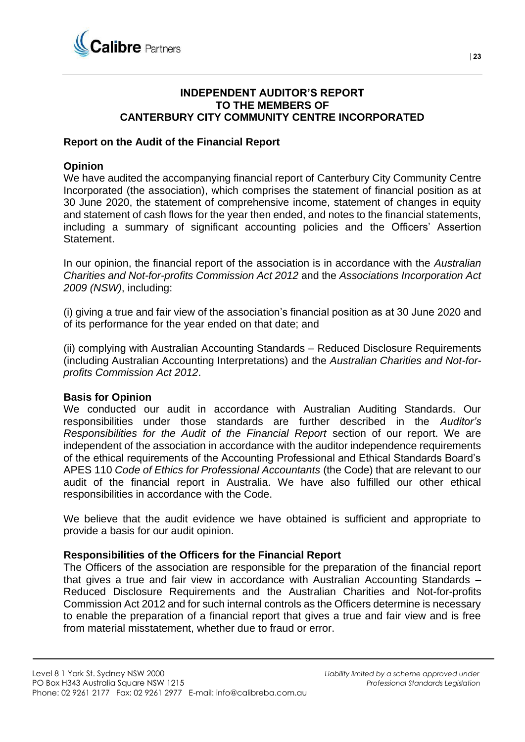

### **INDEPENDENT AUDITOR'S REPORT TO THE MEMBERS OF CANTERBURY CITY COMMUNITY CENTRE INCORPORATED**

### **Report on the Audit of the Financial Report**

### **Opinion**

We have audited the accompanying financial report of Canterbury City Community Centre Incorporated (the association), which comprises the statement of financial position as at 30 June 2020, the statement of comprehensive income, statement of changes in equity and statement of cash flows for the year then ended, and notes to the financial statements, including a summary of significant accounting policies and the Officers' Assertion **Statement** 

In our opinion, the financial report of the association is in accordance with the *Australian Charities and Not-for-profits Commission Act 2012* and the *Associations Incorporation Act 2009 (NSW)*, including:

(i) giving a true and fair view of the association's financial position as at 30 June 2020 and of its performance for the year ended on that date; and

(ii) complying with Australian Accounting Standards – Reduced Disclosure Requirements (including Australian Accounting Interpretations) and the *Australian Charities and Not-forprofits Commission Act 2012*.

### **Basis for Opinion**

We conducted our audit in accordance with Australian Auditing Standards. Our responsibilities under those standards are further described in the *Auditor's Responsibilities for the Audit of the Financial Report* section of our report. We are independent of the association in accordance with the auditor independence requirements of the ethical requirements of the Accounting Professional and Ethical Standards Board's APES 110 *Code of Ethics for Professional Accountants* (the Code) that are relevant to our audit of the financial report in Australia. We have also fulfilled our other ethical responsibilities in accordance with the Code.

We believe that the audit evidence we have obtained is sufficient and appropriate to provide a basis for our audit opinion.

### **Responsibilities of the Officers for the Financial Report**

The Officers of the association are responsible for the preparation of the financial report that gives a true and fair view in accordance with Australian Accounting Standards – Reduced Disclosure Requirements and the Australian Charities and Not-for-profits Commission Act 2012 and for such internal controls as the Officers determine is necessary to enable the preparation of a financial report that gives a true and fair view and is free from material misstatement, whether due to fraud or error.